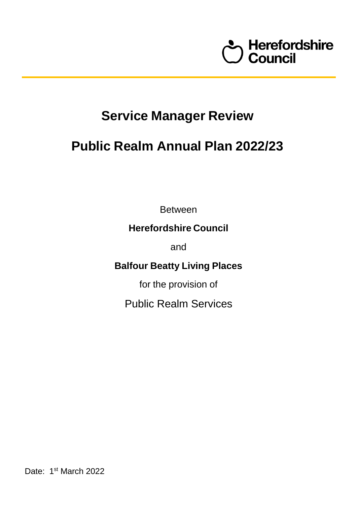

# **Service Manager Review**

## **Public Realm Annual Plan 2022/23**

Between

### **Herefordshire Council**

and

**Balfour Beatty Living Places**

for the provision of

Public Realm Services

Date: 1<sup>st</sup> March 2022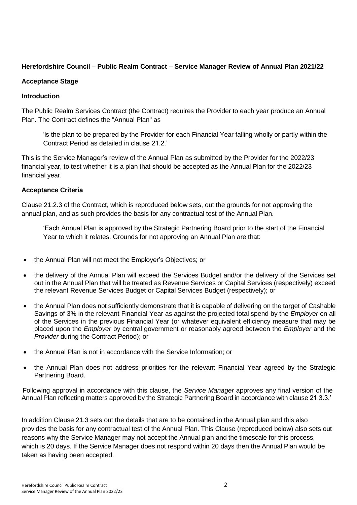#### **Herefordshire Council – Public Realm Contract – Service Manager Review of Annual Plan 2021/22**

#### **Acceptance Stage**

#### **Introduction**

The Public Realm Services Contract (the Contract) requires the Provider to each year produce an Annual Plan. The Contract defines the "Annual Plan" as

'is the plan to be prepared by the Provider for each Financial Year falling wholly or partly within the Contract Period as detailed in clause 21.2.'

This is the Service Manager's review of the Annual Plan as submitted by the Provider for the 2022/23 financial year, to test whether it is a plan that should be accepted as the Annual Plan for the 2022/23 financial year.

#### **Acceptance Criteria**

Clause 21.2.3 of the Contract, which is reproduced below sets, out the grounds for not approving the annual plan, and as such provides the basis for any contractual test of the Annual Plan.

'Each Annual Plan is approved by the Strategic Partnering Board prior to the start of the Financial Year to which it relates. Grounds for not approving an Annual Plan are that:

- the Annual Plan will not meet the Employer's Objectives; or
- the delivery of the Annual Plan will exceed the Services Budget and/or the delivery of the Services set out in the Annual Plan that will be treated as Revenue Services or Capital Services (respectively) exceed the relevant Revenue Services Budget or Capital Services Budget (respectively); or
- the Annual Plan does not sufficiently demonstrate that it is capable of delivering on the target of Cashable Savings of 3% in the relevant Financial Year as against the projected total spend by the *Employer* on all of the Services in the previous Financial Year (or whatever equivalent efficiency measure that may be placed upon the *Employer* by central government or reasonably agreed between the *Employer* and the *Provider* during the Contract Period); or
- the Annual Plan is not in accordance with the Service Information; or
- the Annual Plan does not address priorities for the relevant Financial Year agreed by the Strategic Partnering Board.

Following approval in accordance with this clause, the *Service Manager* approves any final version of the Annual Plan reflecting matters approved by the Strategic Partnering Board in accordance with clause 21.3.3.'

In addition Clause 21.3 sets out the details that are to be contained in the Annual plan and this also provides the basis for any contractual test of the Annual Plan. This Clause (reproduced below) also sets out reasons why the Service Manager may not accept the Annual plan and the timescale for this process, which is 20 days. If the Service Manager does not respond within 20 days then the Annual Plan would be taken as having been accepted.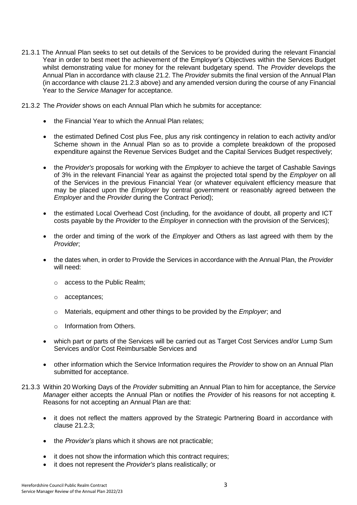- 21.3.1 The Annual Plan seeks to set out details of the Services to be provided during the relevant Financial Year in order to best meet the achievement of the Employer's Objectives within the Services Budget whilst demonstrating value for money for the relevant budgetary spend. The *Provider* develops the Annual Plan in accordance with clause 21.2. The *Provider* submits the final version of the Annual Plan (in accordance with clause 21.2.3 above) and any amended version during the course of any Financial Year to the *Service Manager* for acceptance.
- 21.3.2 The *Provider* shows on each Annual Plan which he submits for acceptance:
	- the Financial Year to which the Annual Plan relates;
	- the estimated Defined Cost plus Fee, plus any risk contingency in relation to each activity and/or Scheme shown in the Annual Plan so as to provide a complete breakdown of the proposed expenditure against the Revenue Services Budget and the Capital Services Budget respectively;
	- the *Provider's* proposals for working with the *Employer* to achieve the target of Cashable Savings of 3% in the relevant Financial Year as against the projected total spend by the *Employer* on all of the Services in the previous Financial Year (or whatever equivalent efficiency measure that may be placed upon the *Employer* by central government or reasonably agreed between the *Employer* and the *Provider* during the Contract Period);
	- the estimated Local Overhead Cost (including, for the avoidance of doubt, all property and ICT costs payable by the *Provider* to the *Employer* in connection with the provision of the Services);
	- the order and timing of the work of the *Employer* and Others as last agreed with them by the *Provider*;
	- the dates when, in order to Provide the Services in accordance with the Annual Plan, the *Provider* will need:
		- o access to the Public Realm;
		- o acceptances;
		- o Materials, equipment and other things to be provided by the *Employer*; and
		- o Information from Others.
	- which part or parts of the Services will be carried out as Target Cost Services and/or Lump Sum Services and/or Cost Reimbursable Services and
	- other information which the Service Information requires the *Provider* to show on an Annual Plan submitted for acceptance.
- 21.3.3 Within 20 Working Days of the *Provider* submitting an Annual Plan to him for acceptance, the *Service Manager* either accepts the Annual Plan or notifies the *Provider* of his reasons for not accepting it. Reasons for not accepting an Annual Plan are that:
	- it does not reflect the matters approved by the Strategic Partnering Board in accordance with clause 21.2.3;
	- the *Provider's* plans which it shows are not practicable;
	- it does not show the information which this contract requires;
	- it does not represent the *Provider's* plans realistically; or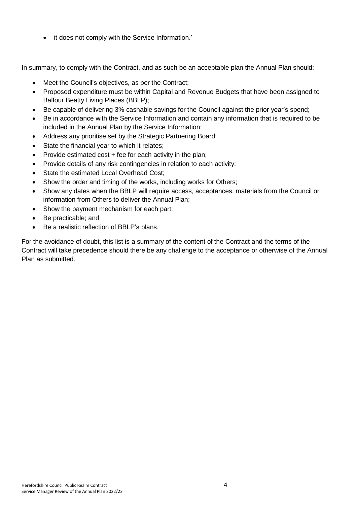• it does not comply with the Service Information.'

In summary, to comply with the Contract, and as such be an acceptable plan the Annual Plan should:

- Meet the Council's objectives, as per the Contract;
- Proposed expenditure must be within Capital and Revenue Budgets that have been assigned to Balfour Beatty Living Places (BBLP);
- Be capable of delivering 3% cashable savings for the Council against the prior year's spend;
- Be in accordance with the Service Information and contain any information that is required to be included in the Annual Plan by the Service Information;
- Address any prioritise set by the Strategic Partnering Board;
- State the financial year to which it relates;
- Provide estimated cost + fee for each activity in the plan;
- Provide details of any risk contingencies in relation to each activity;
- State the estimated Local Overhead Cost;
- Show the order and timing of the works, including works for Others;
- Show any dates when the BBLP will require access, acceptances, materials from the Council or information from Others to deliver the Annual Plan;
- Show the payment mechanism for each part;
- Be practicable; and
- Be a realistic reflection of BBLP's plans.

For the avoidance of doubt, this list is a summary of the content of the Contract and the terms of the Contract will take precedence should there be any challenge to the acceptance or otherwise of the Annual Plan as submitted.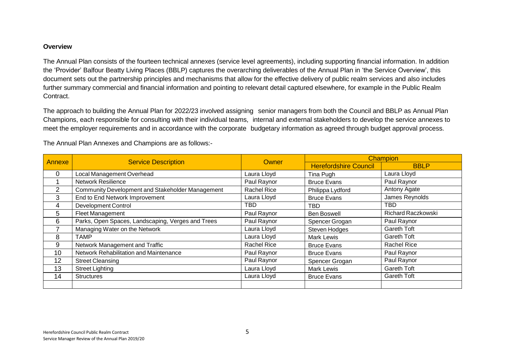#### **Overview**

The Annual Plan consists of the fourteen technical annexes (service level agreements), including supporting financial information. In addition the 'Provider' Balfour Beatty Living Places (BBLP) captures the overarching deliverables of the Annual Plan in 'the Service Overview', this document sets out the partnership principles and mechanisms that allow for the effective delivery of public realm services and also includes further summary commercial and financial information and pointing to relevant detail captured elsewhere, for example in the Public Realm Contract.

The approach to building the Annual Plan for 2022/23 involved assigning senior managers from both the Council and BBLP as Annual Plan Champions, each responsible for consulting with their individual teams, internal and external stakeholders to develop the service annexes to meet the employer requirements and in accordance with the corporate budgetary information as agreed through budget approval process.

| <b>Annexe</b>  | <b>Service Description</b>                        | <b>Owner</b>       | <b>Champion</b>              |                           |  |
|----------------|---------------------------------------------------|--------------------|------------------------------|---------------------------|--|
|                |                                                   |                    | <b>Herefordshire Council</b> | <b>BBLP</b>               |  |
| 0              | Local Management Overhead                         | Laura Lloyd        | Tina Pugh                    | Laura Lloyd               |  |
|                | <b>Network Resilience</b>                         | Paul Raynor        | <b>Bruce Evans</b>           | Paul Raynor               |  |
| $\overline{2}$ | Community Development and Stakeholder Management  | <b>Rachel Rice</b> | Philippa Lydford             | Antony Agate              |  |
| 3              | End to End Network Improvement                    | Laura Lloyd        | <b>Bruce Evans</b>           | James Reynolds            |  |
| 4              | <b>Development Control</b>                        | <b>TBD</b>         | TBD                          | TBD                       |  |
| 5              | Fleet Management                                  | Paul Raynor        | <b>Ben Boswell</b>           | <b>Richard Raczkowski</b> |  |
| 6              | Parks, Open Spaces, Landscaping, Verges and Trees | Paul Raynor        | Spencer Grogan               | Paul Raynor               |  |
|                | Managing Water on the Network                     | Laura Lloyd        | <b>Steven Hodges</b>         | Gareth Toft               |  |
| 8              | <b>TAMP</b>                                       | Laura Lloyd        | <b>Mark Lewis</b>            | Gareth Toft               |  |
| 9              | Network Management and Traffic                    | <b>Rachel Rice</b> | <b>Bruce Evans</b>           | <b>Rachel Rice</b>        |  |
| 10             | Network Rehabilitation and Maintenance            | Paul Raynor        | <b>Bruce Evans</b>           | Paul Raynor               |  |
| 12             | <b>Street Cleansing</b>                           | Paul Raynor        | Spencer Grogan               | Paul Raynor               |  |
| 13             | <b>Street Lighting</b>                            | Laura Lloyd        | <b>Mark Lewis</b>            | Gareth Toft               |  |
| 14             | <b>Structures</b>                                 | Laura Lloyd        | <b>Bruce Evans</b>           | Gareth Toft               |  |
|                |                                                   |                    |                              |                           |  |

The Annual Plan Annexes and Champions are as follows:-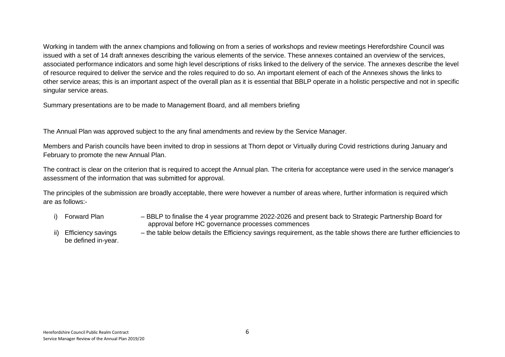Working in tandem with the annex champions and following on from a series of workshops and review meetings Herefordshire Council was issued with a set of 14 draft annexes describing the various elements of the service. These annexes contained an overview of the services, associated performance indicators and some high level descriptions of risks linked to the delivery of the service. The annexes describe the level of resource required to deliver the service and the roles required to do so. An important element of each of the Annexes shows the links to other service areas; this is an important aspect of the overall plan as it is essential that BBLP operate in a holistic perspective and not in specific singular service areas.

Summary presentations are to be made to Management Board, and all members briefing

The Annual Plan was approved subject to the any final amendments and review by the Service Manager.

Members and Parish councils have been invited to drop in sessions at Thorn depot or Virtually during Covid restrictions during January and February to promote the new Annual Plan.

The contract is clear on the criterion that is required to accept the Annual plan. The criteria for acceptance were used in the service manager's assessment of the information that was submitted for approval.

The principles of the submission are broadly acceptable, there were however a number of areas where, further information is required which are as follows:-

- 
- i) Forward Plan BBLP to finalise the 4 year programme 2022-2026 and present back to Strategic Partnership Board for approval before HC governance processes commences
- ii) Efficiency savings the table below details the Efficiency savings requirement, as the table shows there are further efficiencies to be defined in-year.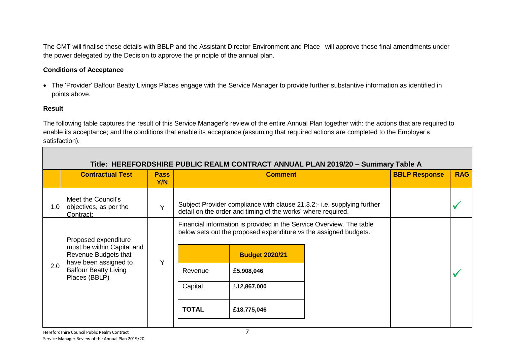The CMT will finalise these details with BBLP and the Assistant Director Environment and Place will approve these final amendments under the power delegated by the Decision to approve the principle of the annual plan.

#### **Conditions of Acceptance**

 The 'Provider' Balfour Beatty Livings Places engage with the Service Manager to provide further substantive information as identified in points above.

#### **Result**

The following table captures the result of this Service Manager's review of the entire Annual Plan together with: the actions that are required to enable its acceptance; and the conditions that enable its acceptance (assuming that required actions are completed to the Employer's satisfaction).

|     | Title: HEREFORDSHIRE PUBLIC REALM CONTRACT ANNUAL PLAN 2019/20 - Summary Table A                                                                     |                    |              |                                                                                                                                          |                       |  |            |  |  |  |
|-----|------------------------------------------------------------------------------------------------------------------------------------------------------|--------------------|--------------|------------------------------------------------------------------------------------------------------------------------------------------|-----------------------|--|------------|--|--|--|
|     | <b>Contractual Test</b>                                                                                                                              | <b>Pass</b><br>Y/N |              | <b>Comment</b>                                                                                                                           |                       |  | <b>RAG</b> |  |  |  |
| 1.0 | Meet the Council's<br>objectives, as per the<br>Contract;                                                                                            | $\vee$             |              | Subject Provider compliance with clause 21.3.2:- i.e. supplying further<br>detail on the order and timing of the works' where required.  |                       |  |            |  |  |  |
|     | Proposed expenditure<br>must be within Capital and<br>Revenue Budgets that<br>have been assigned to<br><b>Balfour Beatty Living</b><br>Places (BBLP) |                    |              | Financial information is provided in the Service Overview. The table<br>below sets out the proposed expenditure vs the assigned budgets. |                       |  |            |  |  |  |
|     |                                                                                                                                                      | $\vee$             |              |                                                                                                                                          | <b>Budget 2020/21</b> |  |            |  |  |  |
| 2.0 |                                                                                                                                                      |                    |              | Revenue                                                                                                                                  | £5.908,046            |  |            |  |  |  |
|     |                                                                                                                                                      |                    |              | Capital                                                                                                                                  | £12,867,000           |  |            |  |  |  |
|     |                                                                                                                                                      |                    | <b>TOTAL</b> | £18,775,046                                                                                                                              |                       |  |            |  |  |  |
|     |                                                                                                                                                      |                    |              |                                                                                                                                          |                       |  |            |  |  |  |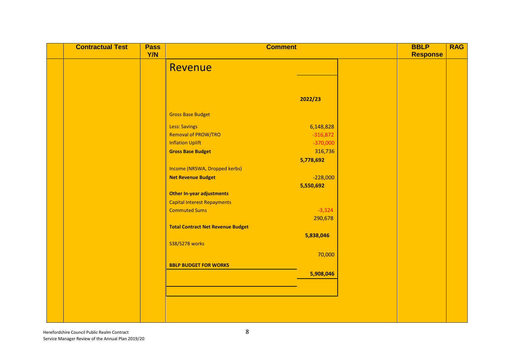| <b>Contractual Test</b> | <b>Pass</b><br>Y/N | <b>Comment</b>                           |            | <b>BBLP</b><br><b>Response</b> | <b>RAG</b> |
|-------------------------|--------------------|------------------------------------------|------------|--------------------------------|------------|
|                         |                    |                                          |            |                                |            |
|                         |                    | Revenue                                  |            |                                |            |
|                         |                    |                                          |            |                                |            |
|                         |                    |                                          |            |                                |            |
|                         |                    |                                          | 2022/23    |                                |            |
|                         |                    |                                          |            |                                |            |
|                         |                    | <b>Gross Base Budget</b>                 |            |                                |            |
|                         |                    | <b>Less: Savings</b>                     | 6,148,828  |                                |            |
|                         |                    | Removal of PROW/TRO                      | $-316,872$ |                                |            |
|                         |                    | <b>Inflation Uplift</b>                  | $-370,000$ |                                |            |
|                         |                    | <b>Gross Base Budget</b>                 | 316,736    |                                |            |
|                         |                    |                                          | 5,778,692  |                                |            |
|                         |                    | Income (NRSWA, Dropped kerbs)            |            |                                |            |
|                         |                    | <b>Net Revenue Budget</b>                | $-228,000$ |                                |            |
|                         |                    |                                          | 5,550,692  |                                |            |
|                         |                    | <b>Other In-year adjustments</b>         |            |                                |            |
|                         |                    | <b>Capital Interest Repayments</b>       |            |                                |            |
|                         |                    | <b>Commuted Sums</b>                     | $-3,324$   |                                |            |
|                         |                    |                                          | 290,678    |                                |            |
|                         |                    | <b>Total Contract Net Revenue Budget</b> |            |                                |            |
|                         |                    | S38/S278 works                           | 5,838,046  |                                |            |
|                         |                    |                                          |            |                                |            |
|                         |                    |                                          | 70,000     |                                |            |
|                         |                    | <b>BBLP BUDGET FOR WORKS</b>             |            |                                |            |
|                         |                    |                                          | 5,908,046  |                                |            |
|                         |                    |                                          |            |                                |            |
|                         |                    |                                          |            |                                |            |
|                         |                    |                                          |            |                                |            |
|                         |                    |                                          |            |                                |            |
|                         |                    |                                          |            |                                |            |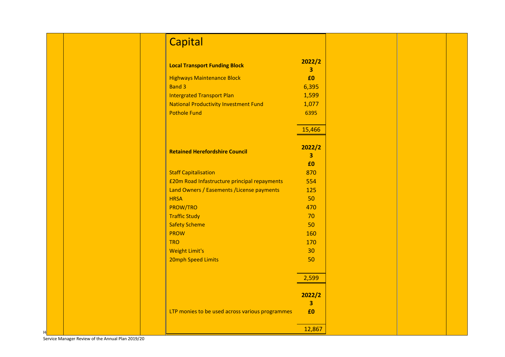| <b>Capital</b>                                  |             |
|-------------------------------------------------|-------------|
| <b>Local Transport Funding Block</b>            | 2022/2<br>3 |
| <b>Highways Maintenance Block</b>               | £0          |
| <b>Band 3</b>                                   | 6,395       |
| <b>Intergrated Transport Plan</b>               | 1,599       |
| <b>National Productivity Investment Fund</b>    | 1,077       |
| <b>Pothole Fund</b>                             | 6395        |
|                                                 | 15,466      |
| <b>Retained Herefordshire Council</b>           | 2022/2<br>3 |
|                                                 | £0          |
| <b>Staff Capitalisation</b>                     | 870         |
| £20m Road Infastructure principal repayments    | 554         |
| Land Owners / Easements / License payments      | 125         |
| <b>HRSA</b>                                     | 50          |
| PROW/TRO                                        | 470         |
| <b>Traffic Study</b>                            | 70          |
| <b>Safety Scheme</b>                            | 50          |
| <b>PROW</b>                                     | 160         |
| <b>TRO</b>                                      | 170         |
| <b>Weight Limit's</b>                           | 30          |
| 20mph Speed Limits                              | 50          |
|                                                 | 2,599       |
|                                                 | 2022/2      |
|                                                 | 3           |
| LTP monies to be used across various programmes | £0          |
|                                                 | 12,867      |

Service Manager Review of the Annual Plan 2019/20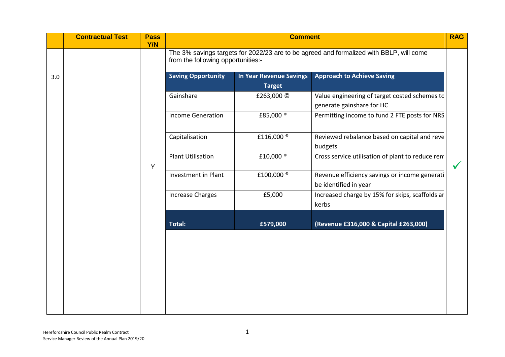|     | <b>Contractual Test</b> | <b>Pass</b><br>Y/N |                           | <b>RAG</b><br><b>Comment</b>                                                                                                  |                                                                            |  |
|-----|-------------------------|--------------------|---------------------------|-------------------------------------------------------------------------------------------------------------------------------|----------------------------------------------------------------------------|--|
|     |                         |                    |                           | The 3% savings targets for 2022/23 are to be agreed and formalized with BBLP, will come<br>from the following opportunities:- |                                                                            |  |
| 3.0 |                         |                    | <b>Saving Opportunity</b> | <b>In Year Revenue Savings</b><br><b>Target</b>                                                                               | <b>Approach to Achieve Saving</b>                                          |  |
|     |                         |                    | Gainshare                 | £263,000 ©                                                                                                                    | Value engineering of target costed schemes to<br>generate gainshare for HC |  |
|     |                         |                    | <b>Income Generation</b>  | £85,000 <sup>®</sup>                                                                                                          | Permitting income to fund 2 FTE posts for NRS                              |  |
|     |                         |                    | Capitalisation            | £116,000 <sup>®</sup>                                                                                                         | Reviewed rebalance based on capital and reve<br>budgets                    |  |
|     |                         | Y                  | <b>Plant Utilisation</b>  | £10,000 <sup>®</sup>                                                                                                          | Cross service utilisation of plant to reduce rent                          |  |
|     |                         |                    | Investment in Plant       | £100,000                                                                                                                      | Revenue efficiency savings or income generati<br>be identified in year     |  |
|     |                         |                    | <b>Increase Charges</b>   | £5,000                                                                                                                        | Increased charge by 15% for skips, scaffolds an<br>kerbs                   |  |
|     |                         |                    | <b>Total:</b>             | £579,000                                                                                                                      | (Revenue £316,000 & Capital £263,000)                                      |  |
|     |                         |                    |                           |                                                                                                                               |                                                                            |  |
|     |                         |                    |                           |                                                                                                                               |                                                                            |  |
|     |                         |                    |                           |                                                                                                                               |                                                                            |  |
|     |                         |                    |                           |                                                                                                                               |                                                                            |  |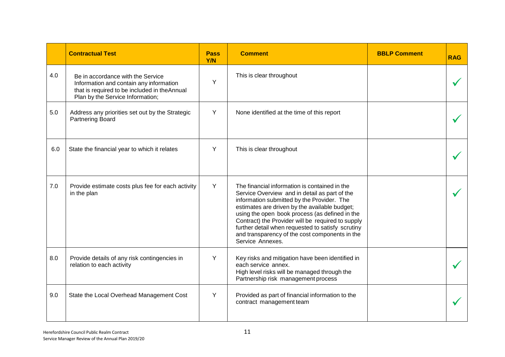|     | <b>Contractual Test</b>                                                                                                                                          | <b>Pass</b><br>Y/N | <b>Comment</b>                                                                                                                                                                                                                                                                                                                                                                                                                  | <b>BBLP Comment</b> | <b>RAG</b> |
|-----|------------------------------------------------------------------------------------------------------------------------------------------------------------------|--------------------|---------------------------------------------------------------------------------------------------------------------------------------------------------------------------------------------------------------------------------------------------------------------------------------------------------------------------------------------------------------------------------------------------------------------------------|---------------------|------------|
| 4.0 | Be in accordance with the Service<br>Information and contain any information<br>that is required to be included in theAnnual<br>Plan by the Service Information; | Y                  | This is clear throughout                                                                                                                                                                                                                                                                                                                                                                                                        |                     |            |
| 5.0 | Address any priorities set out by the Strategic<br>Partnering Board                                                                                              | Y                  | None identified at the time of this report                                                                                                                                                                                                                                                                                                                                                                                      |                     |            |
| 6.0 | State the financial year to which it relates                                                                                                                     | Y                  | This is clear throughout                                                                                                                                                                                                                                                                                                                                                                                                        |                     |            |
| 7.0 | Provide estimate costs plus fee for each activity<br>in the plan                                                                                                 | Y                  | The financial information is contained in the<br>Service Overview and in detail as part of the<br>information submitted by the Provider. The<br>estimates are driven by the available budget;<br>using the open book process (as defined in the<br>Contract) the Provider will be required to supply<br>further detail when requested to satisfy scrutiny<br>and transparency of the cost components in the<br>Service Annexes. |                     |            |
| 8.0 | Provide details of any risk contingencies in<br>relation to each activity                                                                                        | Y                  | Key risks and mitigation have been identified in<br>each service annex.<br>High level risks will be managed through the<br>Partnership risk management process                                                                                                                                                                                                                                                                  |                     |            |
| 9.0 | State the Local Overhead Management Cost                                                                                                                         | Y                  | Provided as part of financial information to the<br>contract management team                                                                                                                                                                                                                                                                                                                                                    |                     |            |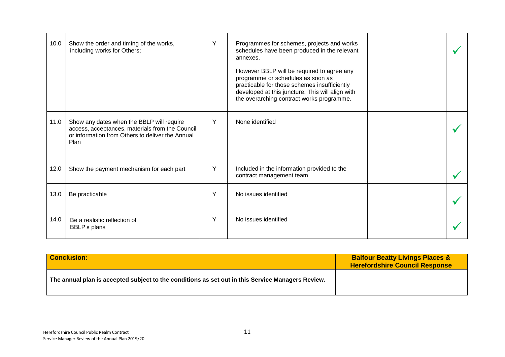| 10.0 | Show the order and timing of the works,<br>including works for Others;                                                                                   | Y | Programmes for schemes, projects and works<br>schedules have been produced in the relevant<br>annexes.<br>However BBLP will be required to agree any<br>programme or schedules as soon as<br>practicable for those schemes insufficiently<br>developed at this juncture. This will align with |  |
|------|----------------------------------------------------------------------------------------------------------------------------------------------------------|---|-----------------------------------------------------------------------------------------------------------------------------------------------------------------------------------------------------------------------------------------------------------------------------------------------|--|
|      |                                                                                                                                                          |   | the overarching contract works programme.                                                                                                                                                                                                                                                     |  |
| 11.0 | Show any dates when the BBLP will require<br>access, acceptances, materials from the Council<br>or information from Others to deliver the Annual<br>Plan | Y | None identified                                                                                                                                                                                                                                                                               |  |
| 12.0 | Show the payment mechanism for each part                                                                                                                 | Y | Included in the information provided to the<br>contract management team                                                                                                                                                                                                                       |  |
| 13.0 | Be practicable                                                                                                                                           | Y | No issues identified                                                                                                                                                                                                                                                                          |  |
| 14.0 | Be a realistic reflection of<br>BBLP's plans                                                                                                             | Y | No issues identified                                                                                                                                                                                                                                                                          |  |

| <b>Conclusion:</b>                                                                                | <b>Balfour Beatty Livings Places &amp;</b><br><b>Herefordshire Council Response</b> |
|---------------------------------------------------------------------------------------------------|-------------------------------------------------------------------------------------|
| The annual plan is accepted subject to the conditions as set out in this Service Managers Review. |                                                                                     |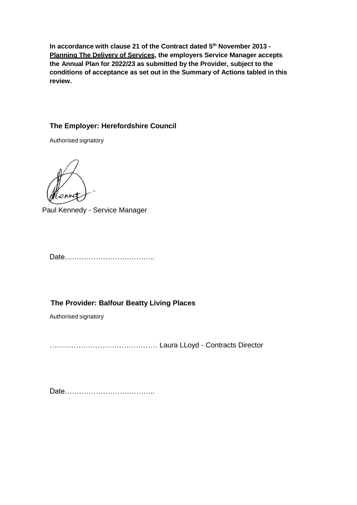**In accordance with clause 21 of the Contract dated 5 th November 2013 - Planning The Delivery of Services, the employers Service Manager accepts the Annual Plan for 2022/23 as submitted by the Provider, subject to the conditions of acceptance as set out in the Summary of Actions tabled in this review.**

### **The Employer: Herefordshire Council**

Authorised signatory

2 AM

Paul Kennedy - Service Manager

Date………………………………..

**The Provider: Balfour Beatty Living Places**

Authorised signatory

……………………………………… Laura LLoyd - Contracts Director

Date………………………………..